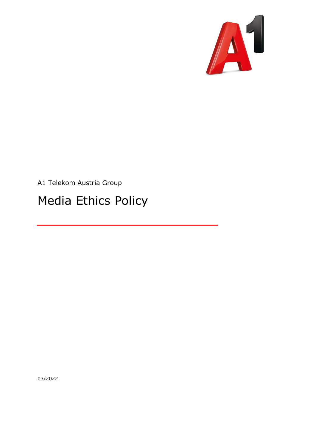

A1 Telekom Austria Group

## Media Ethics Policy

03/2022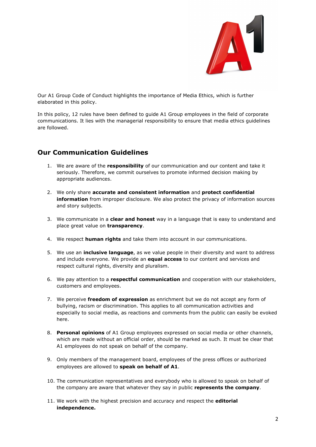

Our A1 Group Code of Conduct highlights the importance of Media Ethics, which is further elaborated in this policy.

In this policy, 12 rules have been defined to guide A1 Group employees in the field of corporate communications. It lies with the managerial responsibility to ensure that media ethics guidelines are followed.

## Our Communication Guidelines

- 1. We are aware of the responsibility of our communication and our content and take it seriously. Therefore, we commit ourselves to promote informed decision making by appropriate audiences.
- 2. We only share accurate and consistent information and protect confidential information from improper disclosure. We also protect the privacy of information sources and story subjects.
- 3. We communicate in a **clear and honest** way in a language that is easy to understand and place great value on **transparency**.
- 4. We respect **human rights** and take them into account in our communications.
- 5. We use an *inclusive language*, as we value people in their diversity and want to address and include everyone. We provide an **equal access** to our content and services and respect cultural rights, diversity and pluralism.
- 6. We pay attention to a respectful communication and cooperation with our stakeholders, customers and employees.
- 7. We perceive freedom of expression as enrichment but we do not accept any form of bullying, racism or discrimination. This applies to all communication activities and especially to social media, as reactions and comments from the public can easily be evoked here.
- 8. Personal opinions of A1 Group employees expressed on social media or other channels, which are made without an official order, should be marked as such. It must be clear that A1 employees do not speak on behalf of the company.
- 9. Only members of the management board, employees of the press offices or authorized employees are allowed to speak on behalf of A1.
- 10. The communication representatives and everybody who is allowed to speak on behalf of the company are aware that whatever they say in public represents the company.
- 11. We work with the highest precision and accuracy and respect the editorial independence.